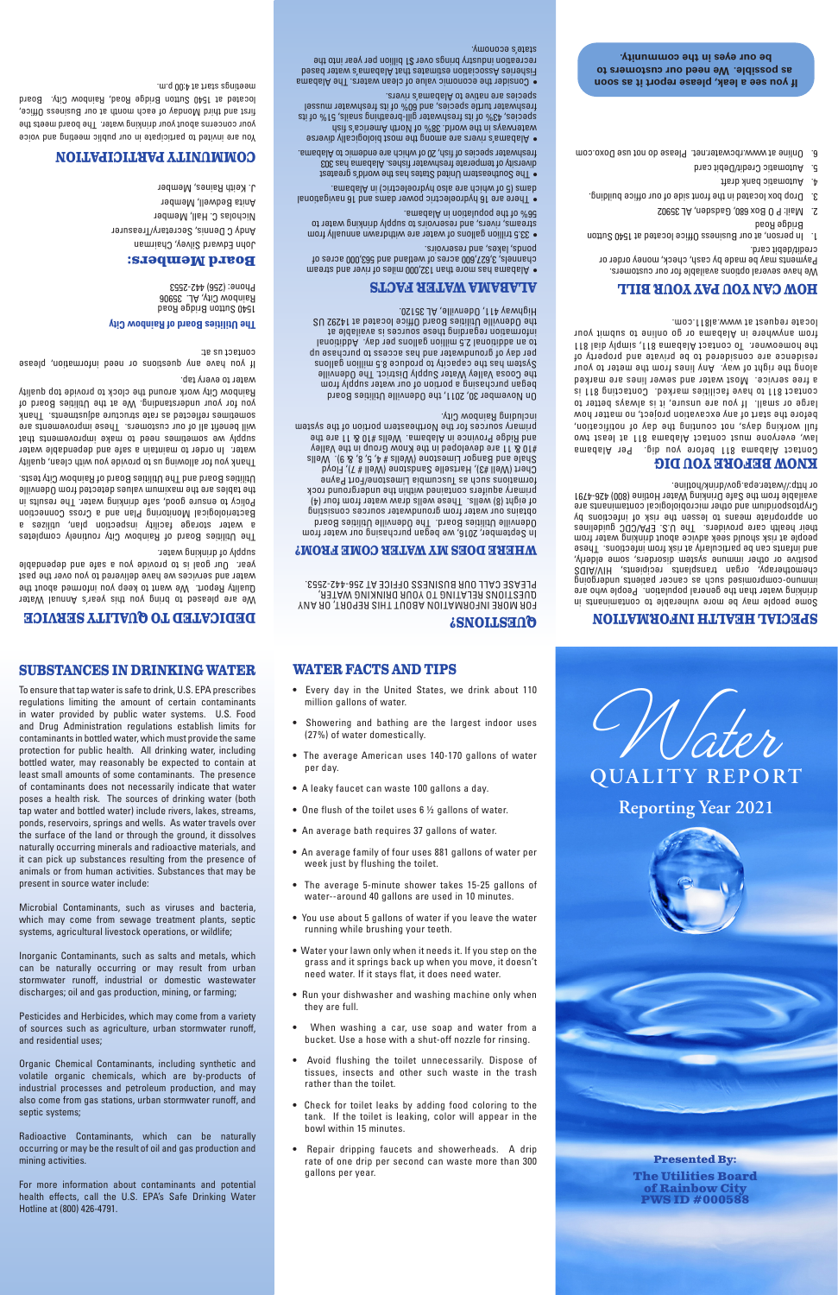

**Presented By: The Utilities Board of Rainbow City PWS ID #000588**

**SUBSTANCES IN DRINKING WATER** To ensure that tap water is safe to drink, U.S. EPA prescribes regulations limiting the amount of certain contaminants in water provided by public water systems. U.S. Food and Drug Administration regulations establish limits for contaminants in bottled water, which must provide the same protection for public health. All drinking water, including bottled water, may reasonably be expected to contain at least small amounts of some contaminants. The presence of contaminants does not necessarily indicate that water poses a health risk. The sources of drinking water (both tap water and bottled water) include rivers, lakes, streams, ponds, reservoirs, springs and wells. As water travels over the surface of the land or through the ground, it dissolves naturally occurring minerals and radioactive materials, and it can pick up substances resulting from the presence of animals or from human activities. Substances that may be

present in source water include: Microbial Contaminants, such as viruses and bacteria,

which may come from sewage treatment plants, septic

systems, agricultural livestock operations, or wildlife;

Inorganic Contaminants, such as salts and metals, which can be naturally occurring or may result from urban stormwater runoff, industrial or domestic wastewater discharges; oil and gas production, mining, or farming;

Some people may be more vulnerable to contain and the contains in drinking water than the general population. People who are buiobiapun suanted saoueo se yons pasiwosdwoo-ounwwi chemotherapy, organ transplants recipients, HIV/AIDS positive or other immune system disorders, some elderly, asedT . anoitoethi mott *leit* the vitaluoithed ad neo atnetni bne people at risk should seek advice about drinking water from their health care providers. The U.S. EPA/CDC guidelines on appropriate means to lessen the risk of infections by Cryptosporidium and other microbiological contaminants are available from the Safe Drinking Water Hotline (800) 426-4791 or http://water.epa.gov/drink/hotline.

Pesticides and Herbicides, which may come from a variety of sources such as agriculture, urban stormwater runoff, and residential uses;

Organic Chemical Contaminants, including synthetic and volatile organic chemicals, which are by-products of industrial processes and petroleum production, and may also come from gas stations, urban stormwater runoff, and septic systems;

We have several options available for our customers. Payments may be made by cash, check, money order or credit/debit card.

Radioactive Contaminants, which can be naturally occurring or may be the result of oil and gas production and mining activities.

FOR MORE INFORMATION ABOUT THIS REPORT, OR ANY QUESTIONS RELATING TO YOUR DRINKING WATER, PLEASE CALL OUR BUSINESS OFFICE AT 256-442-2553.

For more information about contaminants and potential health effects, call the U.S. EPA's Safe Drinking Water Hotline at (800) 426-4791.

### **SPECIAL HEALTH INFORMATION**

# **KNOW BEFORE YOU DIG**

m.q 00:4 ts their at **eee a leak, please report it as soon. If** water the alabama waters. The Alabama water water it and the Inn. Fisheries Association estimates that Alabama's water based recreation industry brings over \$1 billion per year into the state's economy.

> Contact Alabama 811 before you dig. Per Alabama law, everyone must contact Alabama 811 at least two full working days, not counting the day of notification, before the start of any excavation project, no matter how large or small. If you are unsure, it is always better to contact 811 to have faciliiost and an extended and the proper a free service. Most water and sewer lines are marked along the right of way. Any lines from the meter to your residence are considered to be private and property of the homeowner. To contact Alabama 811, simply dial 811 from anywhere in Alabama or go online to submit your locate request at www.al811.com.

# **HOW CAN YOU PAY YOUR BILL**

1. In person, at our Business Office located at 1540 Sutton Bridge Road

If you have any duestions or need information, the set contact us at:

- 2. Mail: P O Box 680, Gadsden, AL 35902
- 3. Drop box located in the front side of our office building.
- 4. Automatic bank draft
- 5. Automatic Credit/Debit card

You are invited to participate in our public meeting and voice your concerns about your drinking water. The board meets the first and third Monday of each month at our Business Office, located at 1540 Sutton Bridge Road, Aboution Oiry. Board

6. Online at www.rbcwater.net. Please do not use Doxo.com

### **QUESTIONS?**

#### **WHERE DOES MY WATER COME FROM?**

In September, 2016, we began purchasing our water from Odenville Utilities Board. The Odenville Utilities Board obtains our water from groundwater sources consisting of eight (8) wells. These wells draw water from four (4) primary aquifers contained within the underground rock formations such as Tuscumbia Limestone/Fort Payne Chert (Well #3), Hartselle Sandstone (Well # 7), Floyd Shale and Bangor Limestone (Wells # 4, 5, 8, & 9). Wells #10 & 11 are developed in the Know Group in the Valley and Ridge Province in Alabama. Wells #10 & 11 are the primary sources for the Northeastern portion of the system including Rainbow City.

On November 30, 2011, the Odenville Utilities Board began purchasing a portion of our water supply from the Coosa Valley Water Supply District. The Odenville System has the capacacity to produce 8.5 million and the capacity per day of groundwater and has access to purchase up to an additional 2.5 million gallons per day. Additional information regarding these sources is available at the Odenville Utilities Board Office located at 14292 US Highway 411, Odenville, AL 35120.

### **ALABAMA WATER FACTS**

• Alabama has more than 132,000 miles of river and stream channels, 3,627,600 acres of wetland and 563,000 acres of ponds, lakes, and reservoirs.

• 33.5 trillion gallons of water are withdrawn annually from streams, rivers, and reservoirs to supply drinking water to 56% of the population in Alabama.

• There are 16 hydroelectric power dams and 16 navigational dams (5 of which are also hydroelectric) in Alabama.

• The Southeastern United States has the world's greatest diversity of temperate freshwater fishes. Alabama has 303 freshwater species of fish, 20 of which are endemic to Alabama.

• Alabama's rivers are among the most biologically diverse waterways in the ways choose the water as a series of the search  $\frac{1}{2}$ species, 43% of its freshwater gill-breathing snails, 51% of its freshwater turtle species, and 60% of its freshwater mussel species are native to Alabama's rivers.

# **DEDICATED TO QUALITY SERVICE** We are pleased to bring you this year's Annual Water

Quality Report. We want to keep you informed about the water and services we have delivered to you over the past year. Our goal is to provide you a safe and dependable supply of drinking water.

The Utilities Board of Rainbow City routinely completes a water storage facility inspection plan, utilizes a Bacteriological Monitoring Plan and a Cross Connection Policy to ensure good, safe drinking water. The results in the tables are the maximum values detected from Odenville Utilities Board and The Utilities Board of Rainbow City tests.

Thank you for allowing us to provide you with clean, quality water. In order to maintain a safe and dependable water stnemevorement of been to make improvements that will benefit all of our customers. These improvements are sometimes reflected as reflecture adjustments. Thank you for your understanding. We at the Utilities Board of Rainbow City work around the clock to provide top quality water to every tap.

#### **The Utilities Board of Rainbow City**

1540 Sutton Bridge Road Rainbow City, AL. 35906 Phone: (256) 442-2553

#### **Board Members:**

John Edward Silvey, Chairman Andy C Dennis, Secretary/Treasurer Nicholas C. Hall, Member Anita Bedwell, Member J. Keith Raines, Member

# **COMMUNITY PARTICIPATION**

 **as possible. We need our customers to be our eyes in the community.**

#### **WATER FACTS AND TIPS**

- 
- 
- Water your lawn only when it needs it. If you step on the
- An average family of four uses 881 gallons of water per week just by flushing the toilet.
- The average 5-minute shower takes 15-25 gallons of water--around 40 gallons are used in 10 minutes.
- You use about 5 gallons of water if you leave the water
- running while brushing your teeth.
- 
- An average bath requires 37 gallons of water.
- One flush of the toilet uses 6 ½ gallons of water.
- A leaky faucet can waste 100 gallons a day.
- 
- The average American uses 140-170 gallons of water per day.
- (27%) of water domestically.
- Showering and bathing are the largest indoor uses
- Every day in the United States, we drink about 110 million gallons of water.

grass and it springs back up when you move, it doesn't need water. If it stays flat, it does need water.

- Run your dishwasher and washing machine only when they are full.
- When washing a car, use soap and water from a bucket. Use a hose with a shut-off nozzle for rinsing.
- Avoid flushing the toilet unnecessarily. Dispose of tissues, insects and other such waste in the trash rather than the toilet.
- Check for toilet leaks by adding food coloring to the tank. If the toilet is leaking, color will appear in the bowl within 15 minutes.
- Repair dripping faucets and showerheads. A drip rate of one drip per second can waste more than 300 gallons per year.